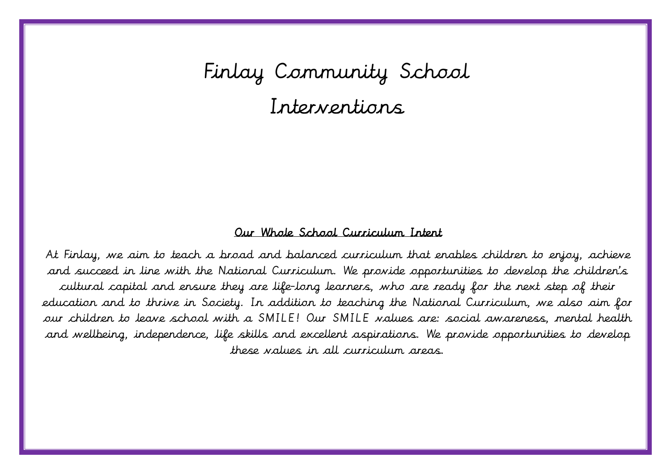# Finlay Community School Interventions

#### Our Whole School Curriculum Intent

At Finlay, we aim to teach a broad and balanced curriculum that enables children to enjoy, achieve and succeed in line with the National Curriculum. We provide opportunities to develop the children's cultural capital and ensure they are life-long learners, who are ready for the next step of their education and to thrive in Society. In addition to teaching the National Curriculum, we also aim for our children to leave school with a SMILE! Our SMILE values are: social awareness, mental health and wellbeing, independence, life skills and excellent aspirations. We provide opportunities to develop these values in all curriculum areas.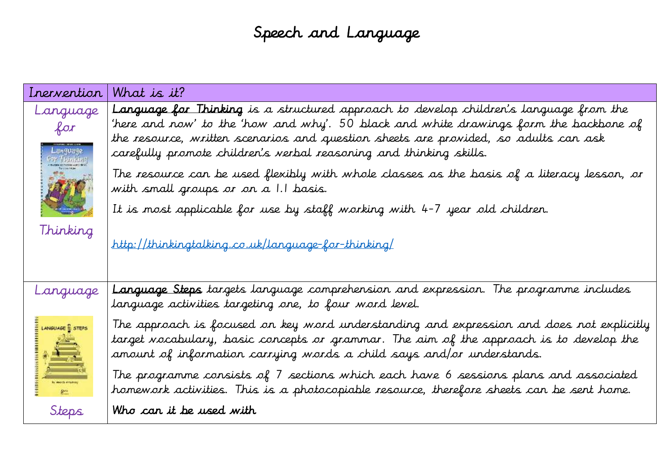## Speech and Language

| Irervention                 | What is it?                                                                                                                                                                                                                                                                                                                                         |
|-----------------------------|-----------------------------------------------------------------------------------------------------------------------------------------------------------------------------------------------------------------------------------------------------------------------------------------------------------------------------------------------------|
| Language<br>for<br>Language | <b>Language for Thinking</b> is a structured approach to develop children's language from the<br>'here and now' to the 'how and why'. 50 black and white drawings form the backbone of<br>the resource, written scenarios and question sheets are provided, so adults can ask<br>carefully promote children's verbal reasoning and thinking skills. |
|                             | The resource can be used flexibly with whole classes as the basis of a literacy lesson, or<br>with small groups or on a 1.1 basis.                                                                                                                                                                                                                  |
|                             | It is most applicable for use by staff working with 4-7 year old children.                                                                                                                                                                                                                                                                          |
| Thinking                    | http://thinkingtalking.co.uk/language-for-thinking/                                                                                                                                                                                                                                                                                                 |
| Language                    | <b>Language Steps</b> targets language comprehension and expression. The programme includes<br>language activities targeting one, to four word level.                                                                                                                                                                                               |
| LANGUAGE STEPS              | The approach is focused on key word understanding and expression and does not explicitly<br>target vocabulary, basic concepts or grammar. The aim of the approach is to develop the<br>amount of information carrying words a child says and/or understands.                                                                                        |
| $\frac{8}{2}$               | The programme consists of 7 sections which each have 6 sessions plans and associated<br>homework activities. This is a photocopiable resource, therefore sheets can be sent home.                                                                                                                                                                   |
| Steps                       | Who can it be used with                                                                                                                                                                                                                                                                                                                             |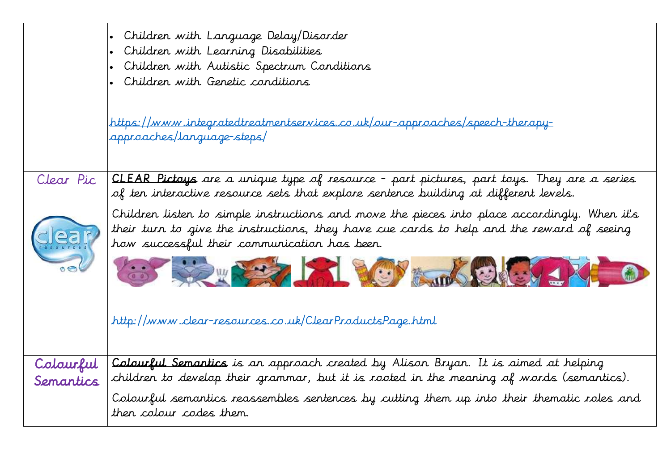|                        | Children with Language Delay/Disorder<br>$\bullet$<br>Children with Learning Disabilities<br>$\bullet$<br>Children with Autistic Spectrum Conditions<br>Children with Genetic conditions<br>$\bullet$                                     |
|------------------------|-------------------------------------------------------------------------------------------------------------------------------------------------------------------------------------------------------------------------------------------|
|                        | https://www.integratedtreatmentservices.co.uk/our-approaches/speech-therapy-<br>approaches/language-steps/                                                                                                                                |
| Clear Pic              | <b>CLEAR Pictoys</b> are a unique type of resource - part pictures, part toys. They are a series<br>of ten interactive resource sets that explore sentence building at different levels.                                                  |
|                        | Children listen to simple instructions and move the pieces into place accordingly. When it's<br>their turn to give the instructions, they have cue cards to help and the reward of seeing<br>how successful their communication has been. |
|                        | SOURCE FIRE YEARS EVER                                                                                                                                                                                                                    |
|                        | http://www.clear-resources.co.uk/ClearProductsPage.html                                                                                                                                                                                   |
| Colourful<br>Semantics | Colourful Semantics is an approach created by Alison Bryan. It is aimed at helping<br>children to develop their grammar, but it is rooted in the meaning of words (semantics).                                                            |
|                        | Colourful semantics reassembles sentences by cutting them up into their thematic roles and<br>then colour codes them.                                                                                                                     |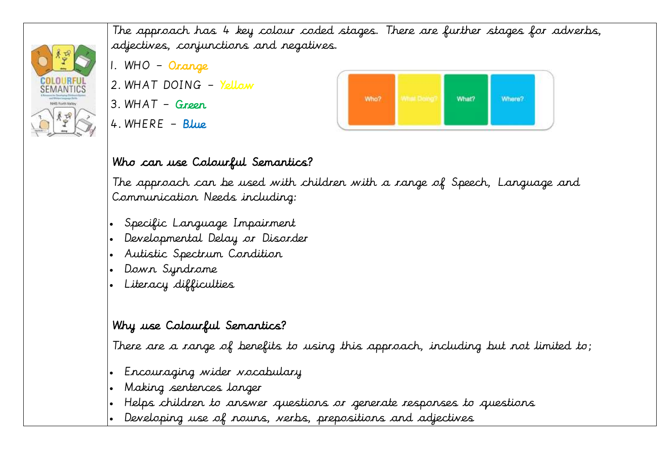

The approach has 4 key colour coded stages. There are further stages for adverbs, adjectives, conjunctions and negatives.

1. WHO – Orange

2. WHAT DOING – Yellow

 $3. WHAT - Green$ 

4. WHERE – Blue



#### Who can use Colourful Semantics?

The approach can be used with children with a range of Speech, Language and Communication Needs including:

- Specific Language Impairment
- Developmental Delay or Disorder
- Autistic Spectrum Condition
- Down Syndrome
- Literacy difficulties

### Why use Colourful Semantics?

There are a range of benefits to using this approach, including but not limited to;

- Encouraging wider vocabulary
- Making sentences longer
- Helps children to answer questions or generate responses to questions
- Developing use of nouns, verbs, prepositions and adjectives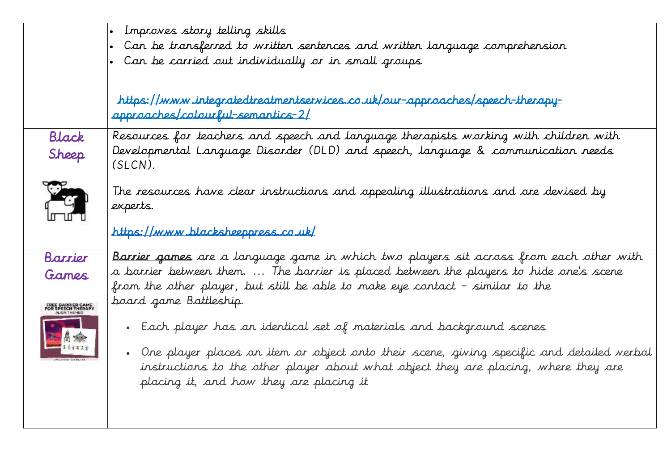|                  | Improves story telling skills<br>$\bullet$                                                                                                                                                                                                                                                             |
|------------------|--------------------------------------------------------------------------------------------------------------------------------------------------------------------------------------------------------------------------------------------------------------------------------------------------------|
|                  | Can be transferred to written sentences and written language comprehension                                                                                                                                                                                                                             |
|                  | Can be carried out individually or in small groups                                                                                                                                                                                                                                                     |
| Black            | https://www.integratedtreatmentservices.co.uk/our-approaches/speech-therapy-<br>approaches/colourful-semantics-2/<br>Resources for teachers and speech and language therapists working with children with                                                                                              |
| Sheep            | Developmental Language Disorder (DLD) and speech, language & communication needs<br>$(SLCN)$ .                                                                                                                                                                                                         |
|                  | The resources have clear instructions and appealing illustrations and are devised by<br>experts.                                                                                                                                                                                                       |
|                  | https://www.blacksheeppress.co.uk/                                                                                                                                                                                                                                                                     |
| Barrier<br>Games | Barrier games are a language game in which two players sit across from each other with<br>a barrier between them.  The barrier is placed between the players to hide one's scene<br>from the other player, but still be able to make eye contact – similar to the<br>board game Battleship.            |
|                  | • Each player has an identical set of materials and background scenes<br>• One player places an item or object onto their scene, giving specific and detailed verbal<br>instructions to the other player about what object they are placing, where they are<br>placing it, and how they are placing it |
|                  |                                                                                                                                                                                                                                                                                                        |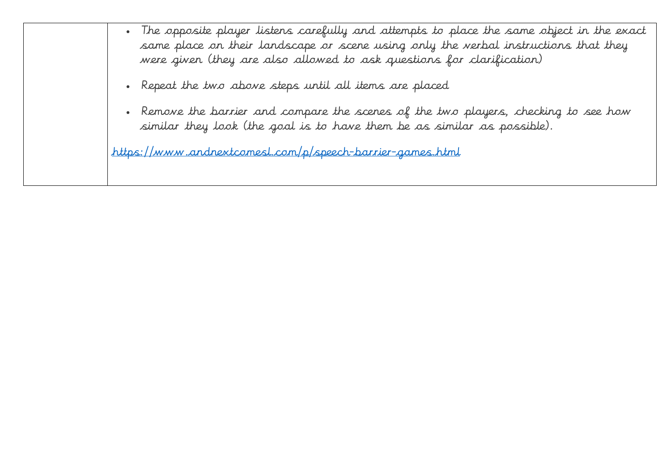The opposite player listens carefully and attempts to place the same object in the exact same place on their landscape or scene using only the verbal instructions that they were given (they are also allowed to ask questions for clarification)

- Repeat the two above steps until all items are placed
- Remove the barrier and compare the scenes of the two players, checking to see how similar they look (the goal is to have them be as similar as possible).

<https://www.andnextcomesl.com/p/speech-barrier-games.html>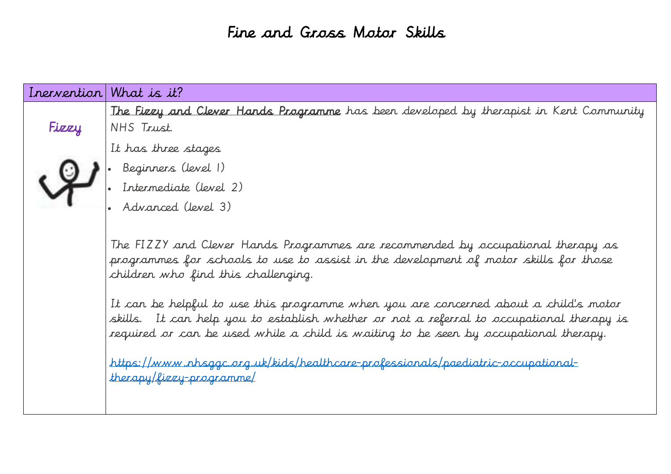### Fine and Gross Motor Skills

| Inervention | What is it?                                                                                                                                                                                                                                                               |
|-------------|---------------------------------------------------------------------------------------------------------------------------------------------------------------------------------------------------------------------------------------------------------------------------|
|             | The Fizzy and Clever Hands Programme has been developed by therapist in Kent Community                                                                                                                                                                                    |
| Fizzy       | NHS Trust.                                                                                                                                                                                                                                                                |
|             | It has three stages                                                                                                                                                                                                                                                       |
|             | Beginners (level 1)                                                                                                                                                                                                                                                       |
|             | Intermediate (level 2)                                                                                                                                                                                                                                                    |
|             | Advanced (level 3)                                                                                                                                                                                                                                                        |
|             |                                                                                                                                                                                                                                                                           |
|             | The FIZZY and Clever Hands Programmes are recommended by occupational therapy as<br>programmes for schools to use to assist in the development of motor skills for those<br>children who find this challenging.                                                           |
|             | It can be helpful to use this programme when you are concerned about a child's motor<br>skills. It can help you to establish whether or not a referral to occupational therapy is<br>required or can be used while a child is waiting to be seen by occupational therapy. |
|             | <u>https://www.nhsggc.org.uk/kids/healthcare-professionals/paediatric-occupational-</u><br>therapy/fizzy-programme/                                                                                                                                                       |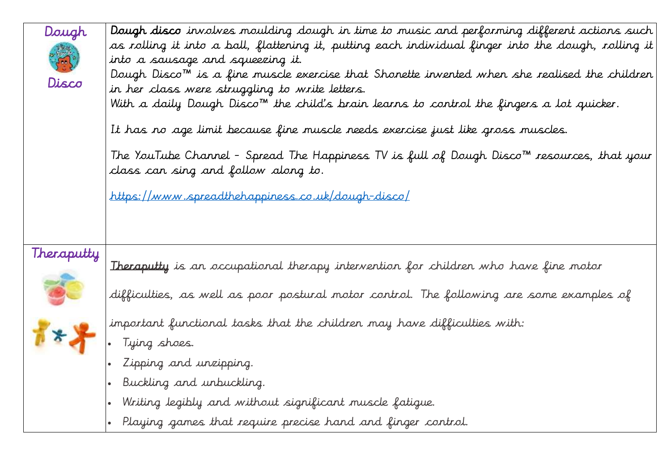| Dough<br>Disco | <b>Dough disco</b> involves moulding dough in time to music and performing different actions such<br>as rolling it into a ball, flattening it, putting each individual finger into the dough, rolling it<br>into a sausage and squeezing it.<br>Dough Disco™ is a fine muscle exercise that Shonette invented when she realised the children<br>in her class were struggling to write letters.<br>With a daily Dough Disco $^{\mathsf{m}}$ the child's brain learns to control the fingers a lot quicker.<br>It has no age limit because fine muscle needs exercise just like gross muscles.<br>The YouTube Channel − Spread The Happiness TV is full of Dough Disco™ resources, that your<br>class can sing and follow along to.<br>https://www.spreadthehappiness.co.uk/dough-disco/ |
|----------------|----------------------------------------------------------------------------------------------------------------------------------------------------------------------------------------------------------------------------------------------------------------------------------------------------------------------------------------------------------------------------------------------------------------------------------------------------------------------------------------------------------------------------------------------------------------------------------------------------------------------------------------------------------------------------------------------------------------------------------------------------------------------------------------|
| Theraputty     | <b>Theraputty</b> is an occupational therapy intervention for children who have fine motor<br>difficulties, as well as poor postural motor control. The following are some examples of<br>important functional tasks that the children may have difficulties with:<br>Tying shoes.<br>Zipping and unzipping.<br>Buckling and unbuckling.<br>Writing legibly and without significant muscle fatique.<br>Playing games that require precise hand and finger control.                                                                                                                                                                                                                                                                                                                     |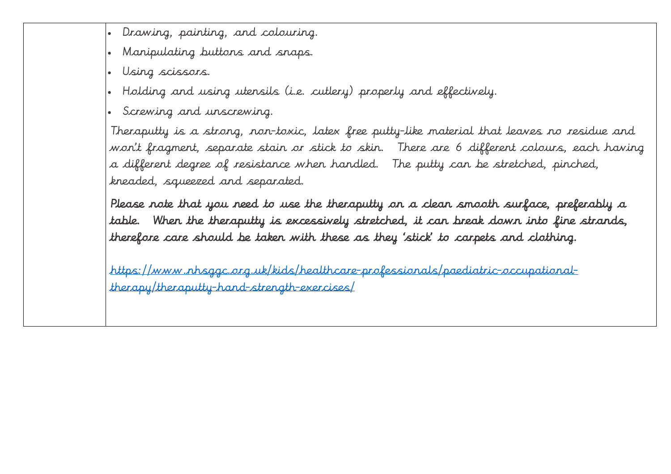- Drawing, painting, and colouring.
- Manipulating buttons and snaps.
- Using scissors.
- Holding and using utensils (i.e. cutlery) properly and effectively.
- Screwing and unscrewing.

Theraputty is a strong, non-toxic, latex free putty-like material that leaves no residue and won't fragment, separate stain or stick to skin. There are 6 different colours, each having a different degree of resistance when handled. The putty can be stretched, pinched, kneaded, squeezed and separated.

Please note that you need to use the theraputty on a clean smooth surface, preferably a table. When the theraputty is excessively stretched, it can break down into fine strands, therefore care should be taken with these as they 'stick' to carpets and clothing.

[https://www.nhsggc.org.uk/kids/healthcare-professionals/paediatric-occupational](https://www.nhsggc.org.uk/kids/healthcare-professionals/paediatric-occupational-therapy/theraputty-hand-strength-exercises/)[therapy/theraputty-hand-strength-exercises/](https://www.nhsggc.org.uk/kids/healthcare-professionals/paediatric-occupational-therapy/theraputty-hand-strength-exercises/)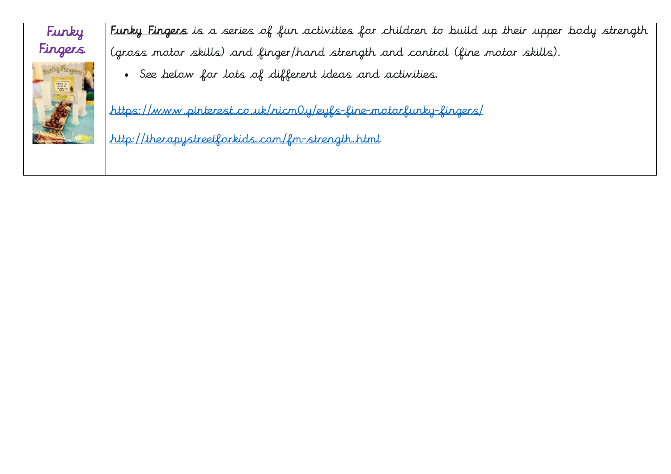

Funky Fingers is a series of fun activities for children to build up their upper body strength (gross motor skills) and finger/hand strength and control (fine motor skills).

See below for lots of different ideas and activities.

<https://www.pinterest.co.uk/nicm0y/eyfs-fine-motorfunky-fingers/>

<http://therapystreetforkids.com/fm-strength.html>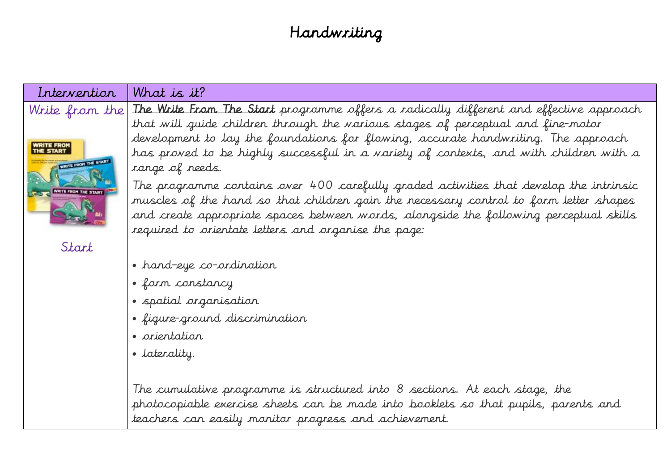### Handwriting

| Intervention                                                      | What is it?                                                                                                                                                                                                                                                                                                                                                                                                                                                            |
|-------------------------------------------------------------------|------------------------------------------------------------------------------------------------------------------------------------------------------------------------------------------------------------------------------------------------------------------------------------------------------------------------------------------------------------------------------------------------------------------------------------------------------------------------|
| Write from the<br>NRITE FROM<br>THE START<br>WRITE FROM THE START | The Write From The Start programme offers a radically different and effective approach<br>that will guide children through the various stages of perceptual and fine-motor<br>development to lay the foundations for flowing, accurate handwriting. The approach<br>has proved to be highly successful in a variety of contexts, and with children with a<br>range of needs.<br>The programme contains over 400 carefully graded activities that develop the intrinsic |
| WHITE FROM THE START                                              | muscles of the hand so that children gain the necessary control to form letter shapes<br>and create appropriate spaces between words, alongside the following perceptual skills<br>required to orientate letters and organise the page:                                                                                                                                                                                                                                |
| Start                                                             |                                                                                                                                                                                                                                                                                                                                                                                                                                                                        |
|                                                                   | • hand-eye co-ordination                                                                                                                                                                                                                                                                                                                                                                                                                                               |
|                                                                   | • form constancy                                                                                                                                                                                                                                                                                                                                                                                                                                                       |
|                                                                   | • spatial organisation                                                                                                                                                                                                                                                                                                                                                                                                                                                 |
|                                                                   | · figure-ground discrimination                                                                                                                                                                                                                                                                                                                                                                                                                                         |
|                                                                   | · orientation                                                                                                                                                                                                                                                                                                                                                                                                                                                          |
|                                                                   | • laterality.                                                                                                                                                                                                                                                                                                                                                                                                                                                          |
|                                                                   | The cumulative programme is structured into 8 sections. At each stage, the                                                                                                                                                                                                                                                                                                                                                                                             |
|                                                                   | photocopiable exercise sheets can be made into booklets so that pupils, parents and                                                                                                                                                                                                                                                                                                                                                                                    |
|                                                                   | teachers can easily monitor progress and achievement.                                                                                                                                                                                                                                                                                                                                                                                                                  |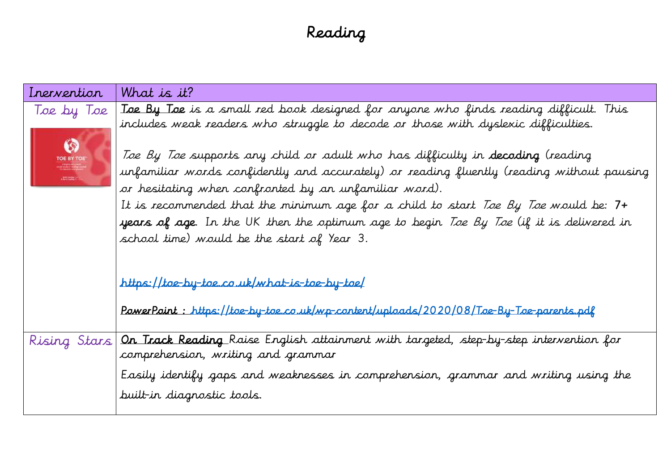## Reading

| Inervention                  | What is it?                                                                                                                                                                                                                                 |
|------------------------------|---------------------------------------------------------------------------------------------------------------------------------------------------------------------------------------------------------------------------------------------|
| Toe by Toe<br>$\circledcirc$ | Toe By Toe is a small red book designed for anyone who finds reading difficult. This<br>includes weak readers who struggle to decode or those with dyslexic difficulties.                                                                   |
| TOE BY TOE<br><b>comment</b> | Toe By Toe supports any child or adult who has difficulty in <b>decoding</b> (reading<br>unfamiliar words confidently and accurately) or reading fluently (reading without pausing<br>or hesitating when confronted by an unfamiliar word). |
|                              | It is recommended that the minimum age for a child to start Toe By Toe would be: $7+$                                                                                                                                                       |
|                              | <b>years of age</b> . In the UK then the optimum age to begin <i>Toe By Toe</i> (if it is delivered in                                                                                                                                      |
|                              | school time) would be the start of Year 3.                                                                                                                                                                                                  |
|                              | https://toe-by-toe.co.uk/what-is-toe-by-toe/                                                                                                                                                                                                |
|                              | <u> PawerPoint : https://toe-by-toe.co.uk/wp-content/uploads/2020/08/Toe-By-Toe-parents.pdf</u>                                                                                                                                             |
| Rising Stars                 | On Track Reading Raise English attainment with targeted, step-by-step intervention for<br>comprehension, writing and grammar                                                                                                                |
|                              | Easily identify gaps and weaknesses in comprehension, grammar and writing using the                                                                                                                                                         |
|                              | built-in diagnostic tools.                                                                                                                                                                                                                  |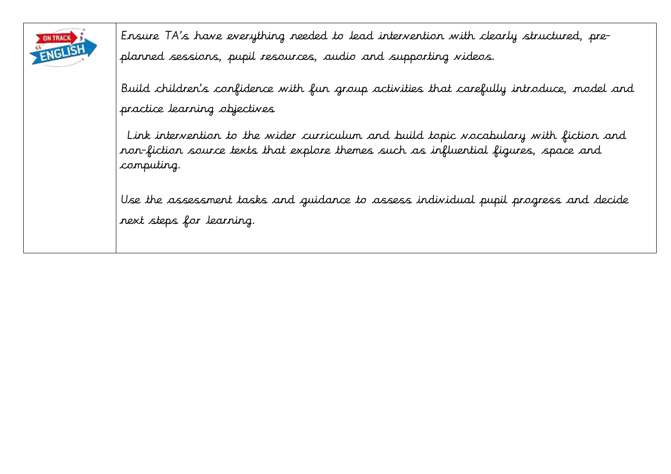

 Ensure TA's have everything needed to lead intervention with clearly structured, preplanned sessions, pupil resources, audio and supporting videos.

 Build children's confidence with fun group activities that carefully introduce, model and practice learning objectives

Link intervention to the wider curriculum and build topic vocabulary with fiction and non-fiction source texts that explore themes such as influential figures, space and computing.

 Use the assessment tasks and guidance to assess individual pupil progress and decide next steps for learning.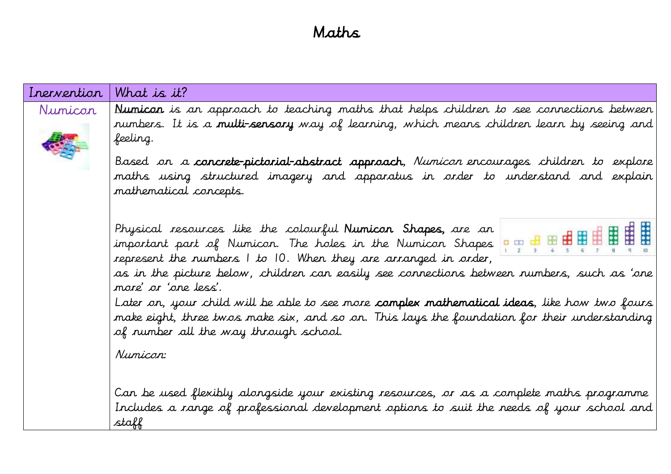### Maths

| Inervention | What is it?                                                                                                                                                                                                                                                                                                                                                           |  |  |  |  |  |  |  |  |  |
|-------------|-----------------------------------------------------------------------------------------------------------------------------------------------------------------------------------------------------------------------------------------------------------------------------------------------------------------------------------------------------------------------|--|--|--|--|--|--|--|--|--|
| Numicar     | Numicon is an approach to teaching maths that helps children to see connections between                                                                                                                                                                                                                                                                               |  |  |  |  |  |  |  |  |  |
|             | rumbers. It is a <b>multi-sensory</b> way of learning, which means children learn by seeing and                                                                                                                                                                                                                                                                       |  |  |  |  |  |  |  |  |  |
|             | feeling.                                                                                                                                                                                                                                                                                                                                                              |  |  |  |  |  |  |  |  |  |
|             | Based on a <b>concrete-pictorial-abstract approach</b> , <i>Numicon</i> encourages children to explore                                                                                                                                                                                                                                                                |  |  |  |  |  |  |  |  |  |
|             | maths using structured imagery and apparatus in order to understand and explain                                                                                                                                                                                                                                                                                       |  |  |  |  |  |  |  |  |  |
|             | mathematical concepts.                                                                                                                                                                                                                                                                                                                                                |  |  |  |  |  |  |  |  |  |
|             |                                                                                                                                                                                                                                                                                                                                                                       |  |  |  |  |  |  |  |  |  |
|             |                                                                                                                                                                                                                                                                                                                                                                       |  |  |  |  |  |  |  |  |  |
|             | Physical resources like the colourful <b>Numicon</b> Shapes, are an<br>important part of Numicon. The holes in the Numicon Shapes $\frac{1}{1}$ $\frac{1}{2}$ $\frac{1}{3}$ $\frac{1}{4}$ $\frac{1}{5}$ $\frac{1}{6}$ $\frac{1}{7}$ $\frac{1}{8}$ $\frac{1}{9}$ $\frac{1}{9}$ $\frac{1}{1}$ $\frac{1}{8}$ $\frac{1}{9}$ $\frac{1}{1}$ $\frac{1}{1}$ $\frac{1}{8}$ $\$ |  |  |  |  |  |  |  |  |  |
|             |                                                                                                                                                                                                                                                                                                                                                                       |  |  |  |  |  |  |  |  |  |
|             |                                                                                                                                                                                                                                                                                                                                                                       |  |  |  |  |  |  |  |  |  |
|             | as in the picture below, children can easily see connections between numbers, such as 'one                                                                                                                                                                                                                                                                            |  |  |  |  |  |  |  |  |  |
|             | more' or 'one less'.                                                                                                                                                                                                                                                                                                                                                  |  |  |  |  |  |  |  |  |  |
|             | Later on, your child will be able to see more <b>complex mathematical ideas</b> , like how two fours                                                                                                                                                                                                                                                                  |  |  |  |  |  |  |  |  |  |
|             | make eight, three twos make six, and so on. This lays the foundation for their understanding                                                                                                                                                                                                                                                                          |  |  |  |  |  |  |  |  |  |
|             | of number all the way through school.                                                                                                                                                                                                                                                                                                                                 |  |  |  |  |  |  |  |  |  |
|             | Numicon:                                                                                                                                                                                                                                                                                                                                                              |  |  |  |  |  |  |  |  |  |
|             |                                                                                                                                                                                                                                                                                                                                                                       |  |  |  |  |  |  |  |  |  |
|             |                                                                                                                                                                                                                                                                                                                                                                       |  |  |  |  |  |  |  |  |  |
|             | Can be used flexibly alongside your existing resources, or as a complete maths programme                                                                                                                                                                                                                                                                              |  |  |  |  |  |  |  |  |  |
|             | Includes a range of professional development options to suit the needs of your school and                                                                                                                                                                                                                                                                             |  |  |  |  |  |  |  |  |  |
|             | staff                                                                                                                                                                                                                                                                                                                                                                 |  |  |  |  |  |  |  |  |  |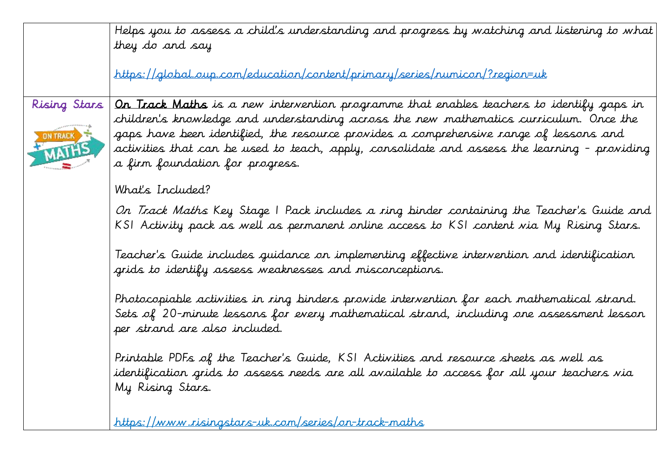|                        | Helps you to assess a child's understanding and progress by watching and listening to what                                                                                                                               |
|------------------------|--------------------------------------------------------------------------------------------------------------------------------------------------------------------------------------------------------------------------|
|                        | they do and say                                                                                                                                                                                                          |
|                        | https://global.oup.com/education/content/primary/series/numicon/?region=uk                                                                                                                                               |
|                        |                                                                                                                                                                                                                          |
| Rising Stars           | On Track Maths is a new intervention programme that enables teachers to identify gaps in<br>children's knowledge and understanding across the new mathematics curriculum. Once the                                       |
| <b><i>ON TRACK</i></b> | gaps have been identified, the resource provides a comprehensive range of lessons and                                                                                                                                    |
|                        | activities that can be used to teach, apply, consolidate and assess the learning - providing<br>a firm foundation for progress.                                                                                          |
|                        |                                                                                                                                                                                                                          |
|                        | What's Included?                                                                                                                                                                                                         |
|                        | On Track Maths Key Stage I Pack includes a ring binder containing the Teacher's Guide and<br>KSI Activity pack as well as permanent online access to KSI content via My Rising Stars.                                    |
|                        | Teacher's Guide includes guidance on implementing effective intervention and identification<br>grids to identify assess weaknesses and misconceptions.                                                                   |
|                        | Photocopiable activities in ring binders provide intervention for each mathematical strand.<br>Sets of 20-minute lessons for every mathematical strand, including one assessment lesson<br>per strand are also included. |
|                        | Printable PDFs of the Teacher's Guide, KSI Activities and resource sheets as well as<br>identification grids to assess needs are all available to access for all your teachers via<br>My Rising Stars.                   |
|                        | <u>https://www.risingstars-uk.com/series/on-track-maths</u>                                                                                                                                                              |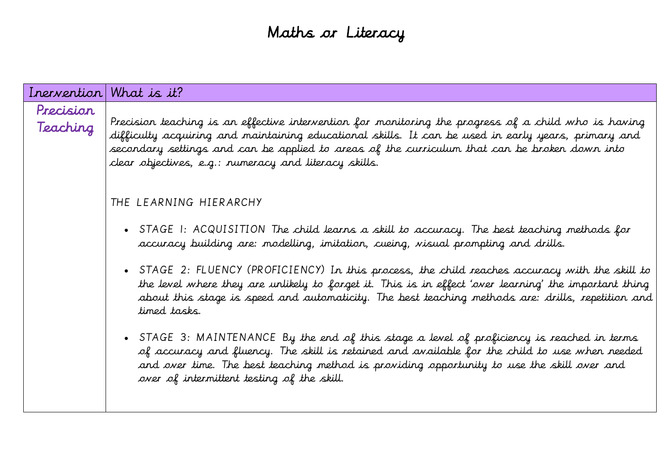## Maths or Literacy

| Precision<br>Precision teaching is an effective intervention for monitoring the progress of a child who is having<br>Teaching<br>difficulty acquiring and maintaining educational skills. It can be used in early years, primary and<br>secondary settings and can be applied to areas of the curriculum that can be broken down into<br>clear objectives, e.g.: numeracy and literacy skills.                                                                                                                                                                                                                                                                                                                                                                                                                                                                                       |  |
|--------------------------------------------------------------------------------------------------------------------------------------------------------------------------------------------------------------------------------------------------------------------------------------------------------------------------------------------------------------------------------------------------------------------------------------------------------------------------------------------------------------------------------------------------------------------------------------------------------------------------------------------------------------------------------------------------------------------------------------------------------------------------------------------------------------------------------------------------------------------------------------|--|
|                                                                                                                                                                                                                                                                                                                                                                                                                                                                                                                                                                                                                                                                                                                                                                                                                                                                                      |  |
| THE LEARNING HIERARCHY<br>• STAGE 1: ACQUISITION The child learns a skill to accuracy. The best teaching methods for<br>accuracy building are: modelling, imitation, cueing, visual prompting and drills.<br>• STAGE 2: FLUENCY (PROFICIENCY) In this process, the child reaches accuracy with the skill to<br>the level where they are unlikely to forget it. This is in effect 'over learning' the important thing<br>about this stage is speed and automaticity. The best teaching methods are: drills, repetition and<br>timed tasks.<br>• STAGE 3: MAINTENANCE By the end of this stage a level of proficiency is reached in terms<br>of accuracy and fluency. The skill is retained and available for the child to use when needed<br>and over time. The best teaching method is providing opportunity to use the skill over and<br>over of intermittent testing of the skill. |  |